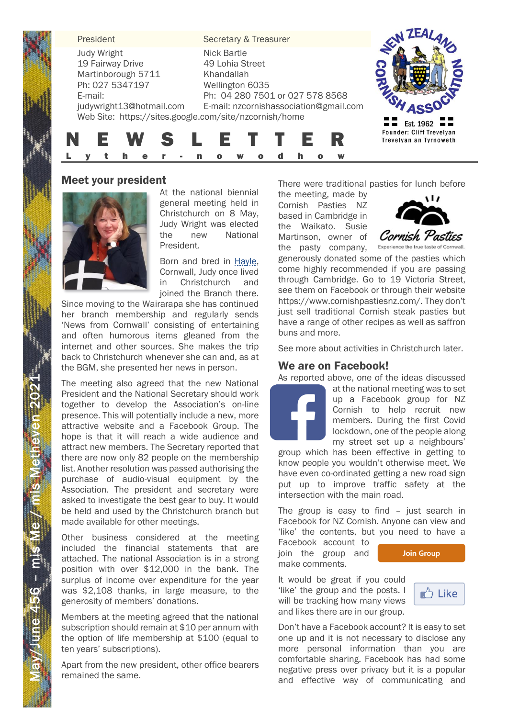**President Secretary & Treasurer** Judy Wright Nick Bartle 19 Fairway Drive 49 Lohia Street Martinborough 5711 Khandallah Ph: 027 5347197 Wellington 6035 Ph: 04 280 7501 or 027 578 8568 E-mail: judywright13@hotmail.com E-mail: nzcornishassociation@gmail.com Web Site: https://sites.google.com/site/nzcornish/home  $\blacksquare$  Est. 1962 **Founder: Cliff Trevelyan** N E W S L E T T E R Trevelyan an Tyrnoweth

## Meet your president



At the national biennial general meeting held in Christchurch on 8 May, Judy Wright was elected the new National President.

L y t h e r - n o w o d h o w

Born and bred in Hayle, Cornwall, Judy once lived in Christchurch and joined the Branch there.

Since moving to the Wairarapa she has continued her branch membership and regularly sends 'News from Cornwall' consisting of entertaining and often humorous items gleaned from the internet and other sources. She makes the trip back to Christchurch whenever she can and, as at the BGM, she presented her news in person.

The meeting also agreed that the new National President and the National Secretary should work together to develop the Association's on-line presence. This will potentially include a new, more attractive website and a Facebook Group. The hope is that it will reach a wide audience and attract new members. The Secretary reported that there are now only 82 people on the membership list. Another resolution was passed authorising the purchase of audio-visual equipment by the Association. The president and secretary were asked to investigate the best gear to buy. It would be held and used by the Christchurch branch but made available for other meetings.

Other business considered at the meeting included the financial statements that are attached. The national Association is in a strong position with over \$12,000 in the bank. The surplus of income over expenditure for the year was \$2,108 thanks, in large measure, to the generosity of members' donations.

Members at the meeting agreed that the national subscription should remain at \$10 per annum with the option of life membership at \$100 (equal to ten years' subscriptions).

Apart from the new president, other office bearers remained the same.

May

/June 4

5

6 – mis Me $\neq$  mis Metheven 202

 $\ddot{=}$ 

There were traditional pasties for lunch before

the meeting, made by Cornish Pasties NZ based in Cambridge in the Waikato. Susie Martinson, owner of the pasty company,



generously donated some of the pasties which come highly recommended if you are passing through Cambridge. Go to 19 Victoria Street, see them on Facebook or through their website https://www.cornishpastiesnz.com/. They don't just sell traditional Cornish steak pasties but have a range of other recipes as well as saffron buns and more.

See more about activities in Christchurch later.

# We are on Facebook!

As reported above, one of the ideas discussed

at the national meeting was to set up a Facebook group for NZ Cornish to help recruit new members. During the first Covid lockdown, one of the people along my street set up a neighbours'

group which has been effective in getting to know people you wouldn't otherwise meet. We have even co-ordinated getting a new road sign put up to improve traffic safety at the intersection with the main road.

The group is easy to find – just search in Facebook for NZ Cornish. Anyone can view and 'like' the contents, but you need to have a

Facebook account to join the group and make comments.



It would be great if you could 'like' the group and the posts. I will be tracking how many views and likes there are in our group.



Don't have a Facebook account? It is easy to set one up and it is not necessary to disclose any more personal information than you are comfortable sharing. Facebook has had some negative press over privacy but it is a popular and effective way of communicating and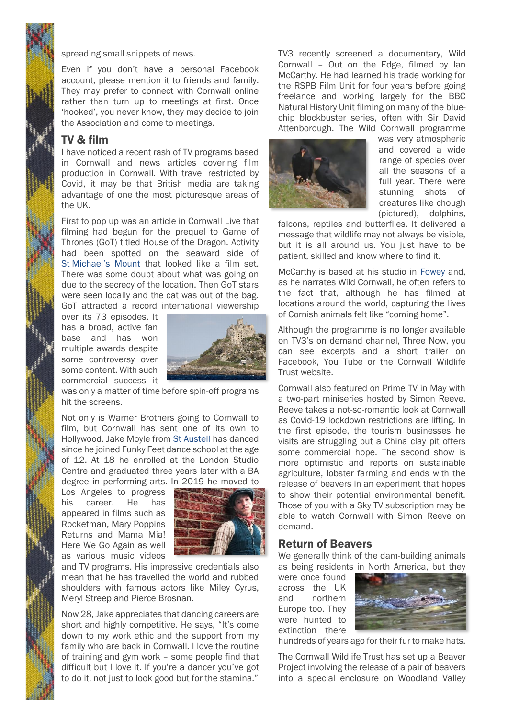spreading small snippets of news.

Even if you don't have a personal Facebook account, please mention it to friends and family. They may prefer to connect with Cornwall online rather than turn up to meetings at first. Once 'hooked', you never know, they may decide to join the Association and come to meetings.

### TV & film

I have noticed a recent rash of TV programs based in Cornwall and news articles covering film production in Cornwall. With travel restricted by Covid, it may be that British media are taking advantage of one the most picturesque areas of the UK.

First to pop up was an article in Cornwall Live that filming had begun for the prequel to Game of Thrones (GoT) titled House of the Dragon. Activity had been spotted on the seaward side of St Michael's Mount that looked like a film set. There was some doubt about what was going on due to the secrecy of the location. Then GoT stars were seen locally and the cat was out of the bag. GoT attracted a record international viewership

over its 73 episodes. It has a broad, active fan base and has won multiple awards despite some controversy over some content. With such commercial success it



was only a matter of time before spin-off programs hit the screens.

Not only is Warner Brothers going to Cornwall to film, but Cornwall has sent one of its own to Hollywood. Jake Moyle from St Austell has danced since he joined Funky Feet dance school at the age of 12. At 18 he enrolled at the London Studio Centre and graduated three years later with a BA degree in performing arts. In 2019 he moved to

Los Angeles to progress his career. He has appeared in films such as Rocketman, Mary Poppins Returns and Mama Mia! Here We Go Again as well as various music videos

2



and TV programs. His impressive credentials also mean that he has travelled the world and rubbed shoulders with famous actors like Miley Cyrus, Meryl Streep and Pierce Brosnan.

Now 28,Jake appreciates that dancing careers are short and highly competitive. He says, "It's come down to my work ethic and the support from my family who are back in Cornwall. I love the routine of training and gym work – some people find that difficult but I love it. If you're a dancer you've got to do it, not just to look good but for the stamina."

TV3 recently screened a documentary, Wild Cornwall – Out on the Edge, filmed by Ian McCarthy. He had learned his trade working for the RSPB Film Unit for four years before going freelance and working largely for the BBC Natural History Unit filming on many of the bluechip blockbuster series, often with Sir David Attenborough. The Wild Cornwall programme



was very atmospheric and covered a wide range of species over all the seasons of a full year. There were stunning shots of creatures like chough (pictured), dolphins,

falcons, reptiles and butterflies. It delivered a message that wildlife may not always be visible, but it is all around us. You just have to be patient, skilled and know where to find it.

McCarthy is based at his studio in Fowey and, as he narrates Wild Cornwall, he often refers to the fact that, although he has filmed at locations around the world, capturing the lives of Cornish animals felt like "coming home".

Although the programme is no longer available on TV3's on demand channel, Three Now, you can see excerpts and a short trailer on Facebook, You Tube or the Cornwall Wildlife Trust website.

Cornwall also featured on Prime TV in May with a two-part miniseries hosted by Simon Reeve. Reeve takes a not-so-romantic look at Cornwall as Covid-19 lockdown restrictions are lifting. In the first episode, the tourism businesses he visits are struggling but a China clay pit offers some commercial hope. The second show is more optimistic and reports on sustainable agriculture, lobster farming and ends with the release of beavers in an experiment that hopes to show their potential environmental benefit. Those of you with a Sky TV subscription may be able to watch Cornwall with Simon Reeve on demand.

## Return of Beavers

We generally think of the dam-building animals as being residents in North America, but they

were once found across the UK and northern Europe too. They were hunted to extinction there



hundreds of years ago for their fur to make hats.

The Cornwall Wildlife Trust has set up a Beaver Project involving the release of a pair of beavers into a special enclosure on Woodland Valley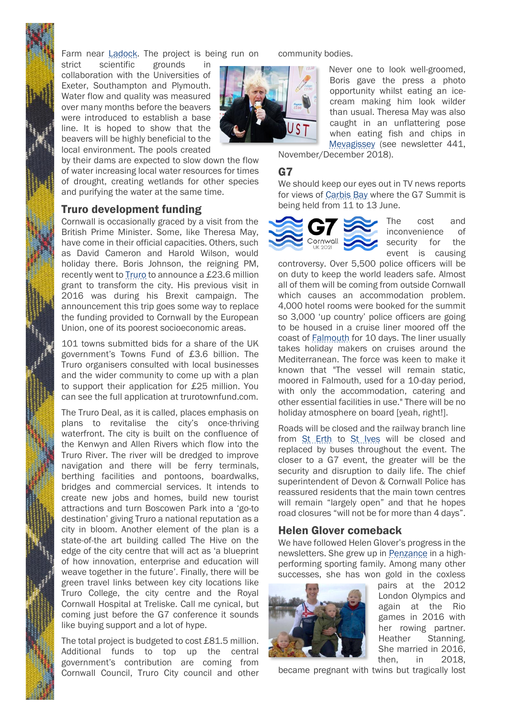

Farm near Ladock. The project is being run on

strict scientific grounds in collaboration with the Universities of Exeter, Southampton and Plymouth. Water flow and quality was measured over many months before the beavers were introduced to establish a base line. It is hoped to show that the beavers will be highly beneficial to the local environment. The pools created

by their dams are expected to slow down the flow of water increasing local water resources for times of drought, creating wetlands for other species and purifying the water at the same time.

#### Truro development funding

Cornwall is occasionally graced by a visit from the British Prime Minister. Some, like Theresa May, have come in their official capacities. Others, such as David Cameron and Harold Wilson, would holiday there. Boris Johnson, the reigning PM, recently went to **Truro** to announce a £23.6 million grant to transform the city. His previous visit in 2016 was during his Brexit campaign. The announcement this trip goes some way to replace the funding provided to Cornwall by the European Union, one of its poorest socioeconomic areas.

101 towns submitted bids for a share of the UK government's Towns Fund of £3.6 billion. The Truro organisers consulted with local businesses and the wider community to come up with a plan to support their application for £25 million. You can see the full application at trurotownfund.com.

The Truro Deal, as it is called, places emphasis on plans to revitalise the city's once-thriving waterfront. The city is built on the confluence of the Kenwyn and Allen Rivers which flow into the Truro River. The river will be dredged to improve navigation and there will be ferry terminals, berthing facilities and pontoons, boardwalks, bridges and commercial services. It intends to create new jobs and homes, build new tourist attractions and turn Boscowen Park into a 'go-to destination' giving Truro a national reputation as a city in bloom. Another element of the plan is a state-of-the art building called The Hive on the edge of the city centre that will act as 'a blueprint of how innovation, enterprise and education will weave together in the future'. Finally, there will be green travel links between key city locations like Truro College, the city centre and the Royal Cornwall Hospital at Treliske. Call me cynical, but coming just before the G7 conference it sounds like buying support and a lot of hype.

The total project is budgeted to cost £81.5 million. Additional funds to top up the central government's contribution are coming from Cornwall Council, Truro City council and other community bodies.



Never one to look well-groomed, Boris gave the press a photo opportunity whilst eating an icecream making him look wilder than usual. Theresa May was also caught in an unflattering pose when eating fish and chips in Mevagissey (see newsletter 441,

November/December 2018).

#### G7

We should keep our eyes out in TV news reports for views of Carbis Bay where the G7 Summit is being held from 11 to 13 June.



The cost and inconvenience of security for the event is causing

controversy. Over 5,500 police officers will be on duty to keep the world leaders safe. Almost all of them will be coming from outside Cornwall which causes an accommodation problem. 4,000 hotel rooms were booked for the summit so 3,000 'up country' police officers are going to be housed in a cruise liner moored off the coast of Falmouth for 10 days. The liner usually takes holiday makers on cruises around the Mediterranean. The force was keen to make it known that "The vessel will remain static, moored in Falmouth, used for a 10-day period, with only the accommodation, catering and other essential facilities in use." There will be no holiday atmosphere on board [yeah, right!].

Roads will be closed and the railway branch line from St Erth to St Ives will be closed and replaced by buses throughout the event. The closer to a G7 event, the greater will be the security and disruption to daily life. The chief superintendent of Devon & Cornwall Police has reassured residents that the main town centres will remain "largely open" and that he hopes road closures "will not be for more than 4 days".

#### Helen Glover comeback

We have followed Helen Glover's progress in the newsletters. She grew up in Penzance in a highperforming sporting family. Among many other successes, she has won gold in the coxless



pairs at the 2012 London Olympics and again at the Rio games in 2016 with her rowing partner. Heather Stanning. She married in 2016, then, in 2018,

became pregnant with twins but tragically lost